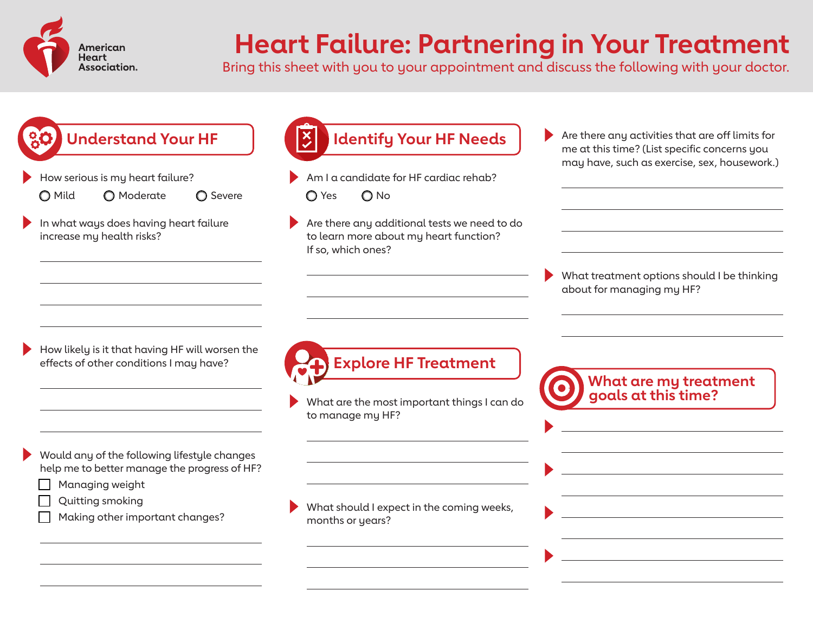

## **Heart Failure: Partnering in Your Treatment**

Bring this sheet with you to your appointment and discuss the following with your doctor.

| <b>Understand Your HF</b>                                                                                       | $\overline{\mathbf{x}}$<br><b>Identify Your HF Needs</b>                                                     | Are there any activities that are off limits for<br>$\blacktriangleright$<br>me at this time? (List specific concerns you<br>may have, such as exercise, sex, housework.) |
|-----------------------------------------------------------------------------------------------------------------|--------------------------------------------------------------------------------------------------------------|---------------------------------------------------------------------------------------------------------------------------------------------------------------------------|
| How serious is my heart failure?<br>O Mild<br>O Moderate<br>◯ Severe                                            | Am I a candidate for HF cardiac rehab?<br>$\bigcirc$ Yes<br>$\bigcirc$ No                                    |                                                                                                                                                                           |
| In what ways does having heart failure<br>increase my health risks?                                             | Are there any additional tests we need to do<br>to learn more about my heart function?<br>If so, which ones? |                                                                                                                                                                           |
|                                                                                                                 |                                                                                                              | What treatment options should I be thinking<br>about for managing my HF?                                                                                                  |
| How likely is it that having HF will worsen the<br>effects of other conditions I may have?                      | <b>Explore HF Treatment</b>                                                                                  |                                                                                                                                                                           |
|                                                                                                                 | What are the most important things I can do<br>to manage my HF?                                              | What are my treatment<br>goals at this time?                                                                                                                              |
| Would any of the following lifestyle changes<br>help me to better manage the progress of HF?<br>Managing weight |                                                                                                              |                                                                                                                                                                           |
| Quitting smoking<br>Making other important changes?                                                             | What should I expect in the coming weeks,<br>months or years?                                                |                                                                                                                                                                           |
|                                                                                                                 |                                                                                                              |                                                                                                                                                                           |